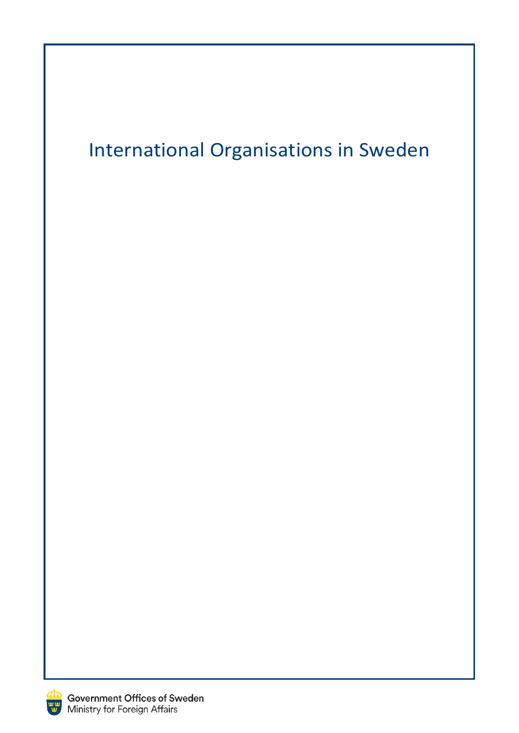# International Organisations in Sweden

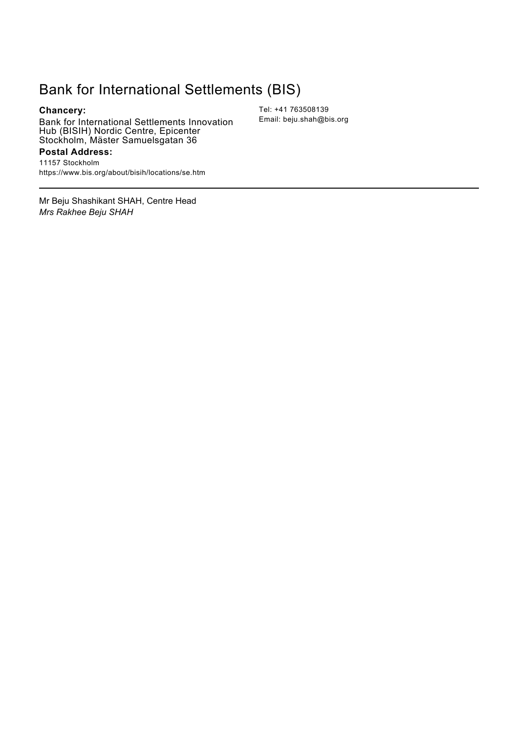## Bank for International Settlements (BIS)

**Chancery:**

Bank for International Settlements Innovation Hub (BISIH) Nordic Centre, Epicenter Stockholm, Mäster Samuelsgatan 36

**Postal Address:**

*Mrs Rakhee Beju SHAH*

11157 Stockholm https://www.bis.org/about/bisih/locations/se.htm

Mr Beju Shashikant SHAH, Centre Head

Tel: +41 763508139 Email: beju.shah@bis.org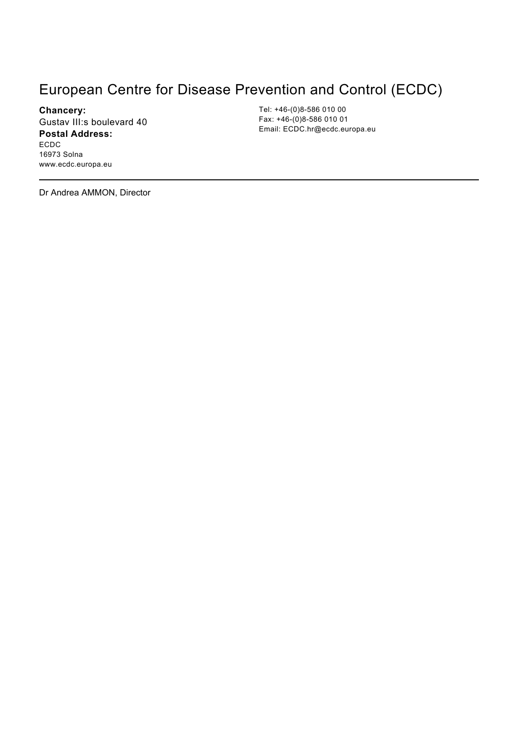## European Centre for Disease Prevention and Control (ECDC)

**Chancery:** Gustav III:s boulevard 40 **Postal Address:** ECDC 16973 Solna www.ecdc.europa.eu

Tel: +46-(0)8-586 010 00 Fax: +46-(0)8-586 010 01 Email: ECDC.hr@ecdc.europa.eu

Dr Andrea AMMON, Director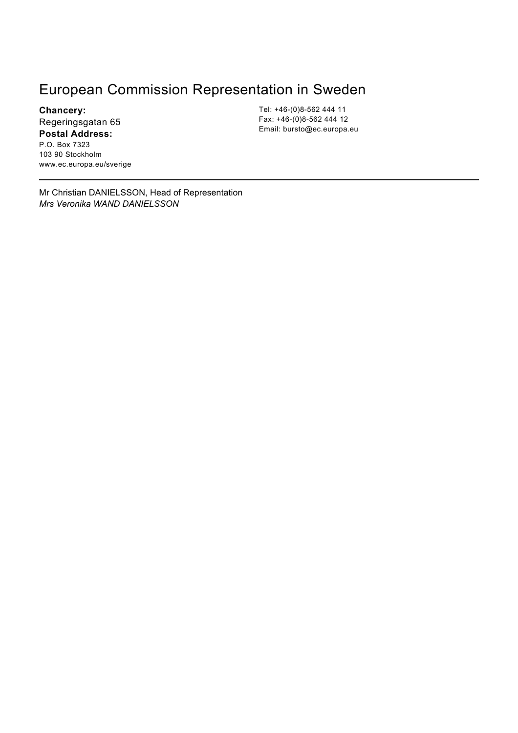### European Commission Representation in Sweden

**Chancery:** Regeringsgatan 65 **Postal Address:** P.O. Box 7323 103 90 Stockholm www.ec.europa.eu/sverige

Tel: +46-(0)8-562 444 11 Fax: +46-(0)8-562 444 12 Email: bursto@ec.europa.eu

Mr Christian DANIELSSON, Head of Representation *Mrs Veronika WAND DANIELSSON*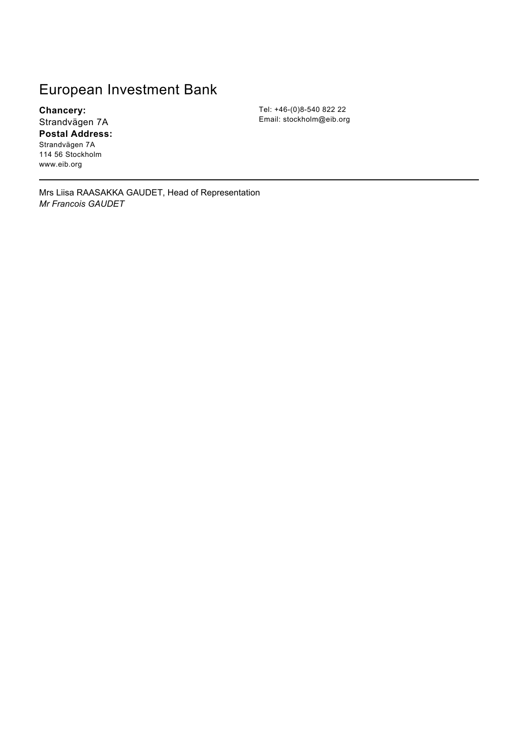### European Investment Bank

**Chancery:** Strandvägen 7A **Postal Address:**

Strandvägen 7A 114 56 Stockholm www.eib.org

Mrs Liisa RAASAKKA GAUDET, Head of Representation *Mr Francois GAUDET*

Tel: +46-(0)8-540 822 22 Email: stockholm@eib.org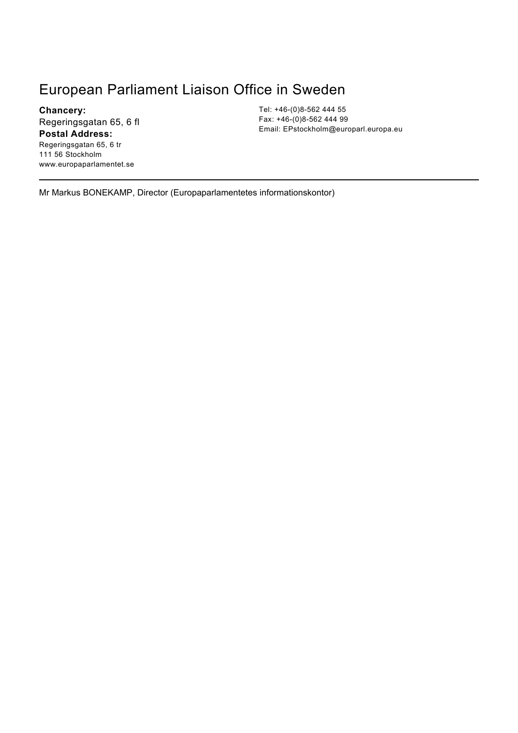### European Parliament Liaison Office in Sweden

**Chancery:** Regeringsgatan 65, 6 fl **Postal Address:** Regeringsgatan 65, 6 tr 111 56 Stockholm www.europaparlamentet.se

Tel: +46-(0)8-562 444 55 Fax: +46-(0)8-562 444 99 Email: EPstockholm@europarl.europa.eu

Mr Markus BONEKAMP, Director (Europaparlamentetes informationskontor)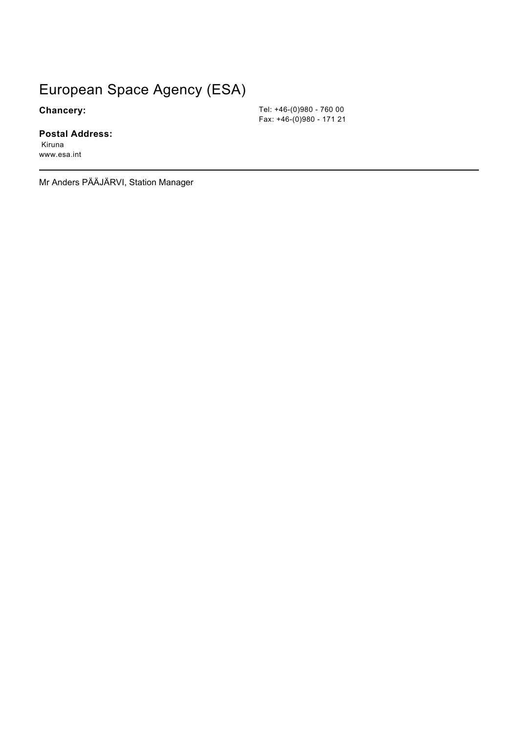## European Space Agency (ESA)

**Chancery:**

### **Postal Address:**

 Kiruna www.esa.int

Mr Anders PÄÄJÄRVI, Station Manager

Tel: +46-(0)980 - 760 00 Fax: +46-(0)980 - 171 21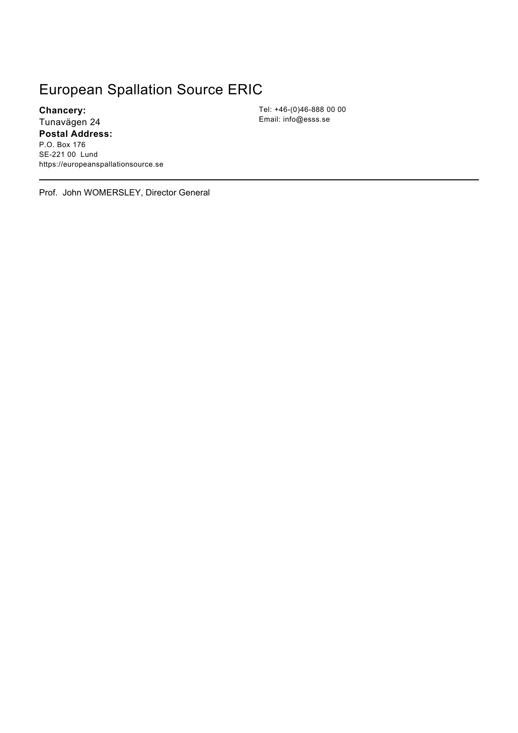## European Spallation Source ERIC

**Chancery:** Tunavägen 24 **Postal Address:**

P.O. Box 176 SE-221 00 Lund https://europeanspallationsource.se Tel: +46-(0)46-888 00 00 Email: info@esss.se

Prof. John WOMERSLEY, Director General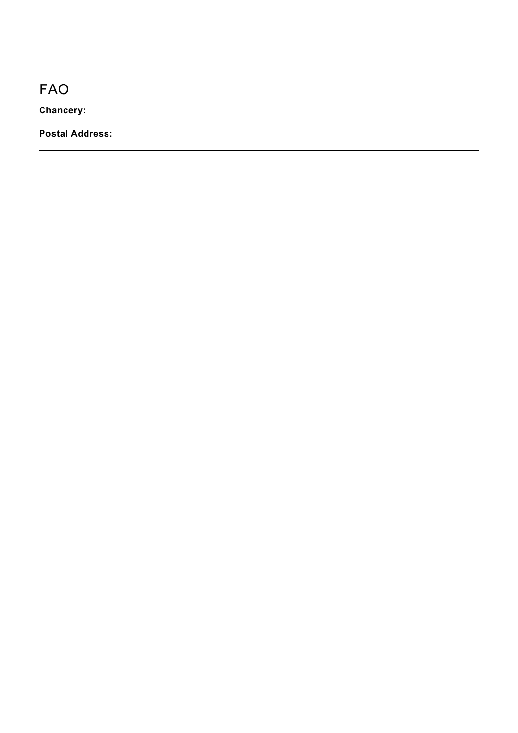FAO

**Chancery:**

**Postal Address:**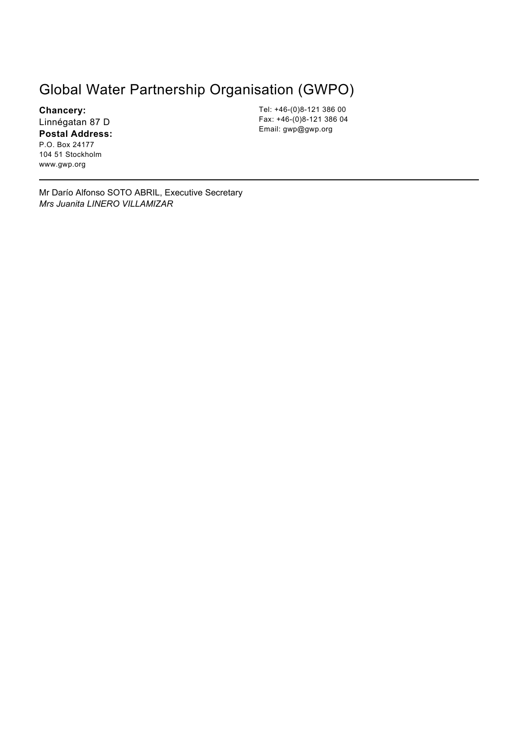### Global Water Partnership Organisation (GWPO)

**Chancery:** Linnégatan 87 D **Postal Address:** P.O. Box 24177

104 51 Stockholm www.gwp.org

Tel: +46-(0)8-121 386 00 Fax: +46-(0)8-121 386 04 Email: gwp@gwp.org

Mr Darío Alfonso SOTO ABRIL, Executive Secretary *Mrs Juanita LINERO VILLAMIZAR*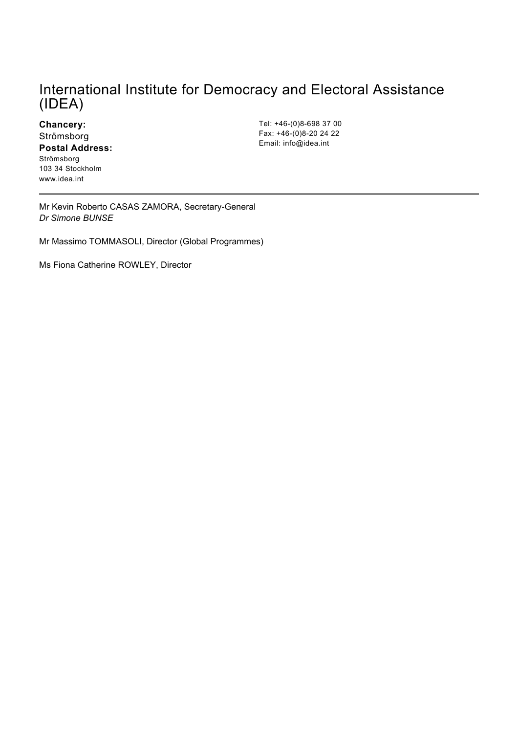### International Institute for Democracy and Electoral Assistance (IDEA)

**Chancery:** Strömsborg **Postal Address:** Strömsborg 103 34 Stockholm www.idea.int

Tel: +46-(0)8-698 37 00 Fax: +46-(0)8-20 24 22 Email: info@idea.int

Mr Kevin Roberto CASAS ZAMORA, Secretary-General *Dr Simone BUNSE*

Mr Massimo TOMMASOLI, Director (Global Programmes)

Ms Fiona Catherine ROWLEY, Director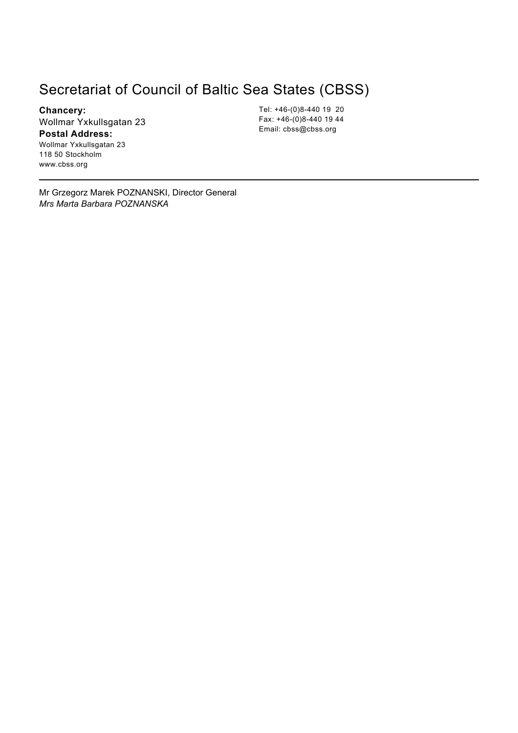### Secretariat of Council of Baltic Sea States (CBSS)

**Chancery:** Wollmar Yxkullsgatan 23 **Postal Address:**

Wollmar Yxkullsgatan 23 118 50 Stockholm www.cbss.org

Tel: +46-(0)8-440 19 20 Fax: +46-(0)8-440 19 44 Email: cbss@cbss.org

Mr Grzegorz Marek POZNANSKI, Director General *Mrs Marta Barbara POZNANSKA*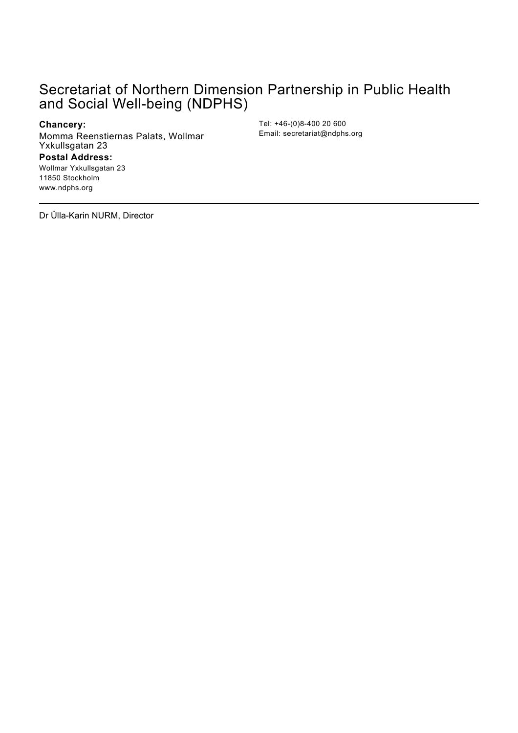### Secretariat of Northern Dimension Partnership in Public Health and Social Well-being (NDPHS)

#### **Chancery:**

Momma Reenstiernas Palats, Wollmar Yxkullsgatan 23 **Postal Address:**

Tel: +46-(0)8-400 20 600 Email: secretariat@ndphs.org

Dr Ülla-Karin NURM, Director

Wollmar Yxkullsgatan 23 11850 Stockholm www.ndphs.org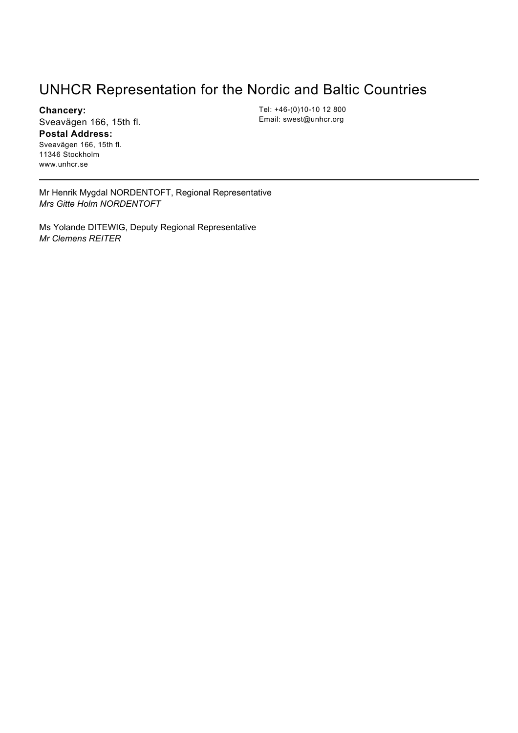### UNHCR Representation for the Nordic and Baltic Countries

**Chancery:** Sveavägen 166, 15th fl.

**Postal Address:**

Sveavägen 166, 15th fl. 11346 Stockholm www.unhcr.se

Tel: +46-(0)10-10 12 800 Email: swest@unhcr.org

Mr Henrik Mygdal NORDENTOFT, Regional Representative *Mrs Gitte Holm NORDENTOFT*

Ms Yolande DITEWIG, Deputy Regional Representative *Mr Clemens REITER*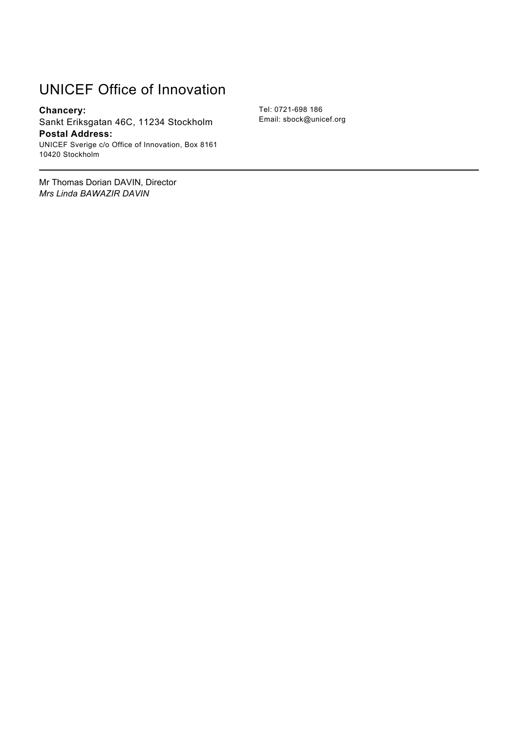## UNICEF Office of Innovation

**Chancery:** Sankt Eriksgatan 46C, 11234 Stockholm **Postal Address:** UNICEF Sverige c/o Office of Innovation, Box 8161 10420 Stockholm

Mr Thomas Dorian DAVIN, Director *Mrs Linda BAWAZIR DAVIN*

Tel: 0721-698 186 Email: sbock@unicef.org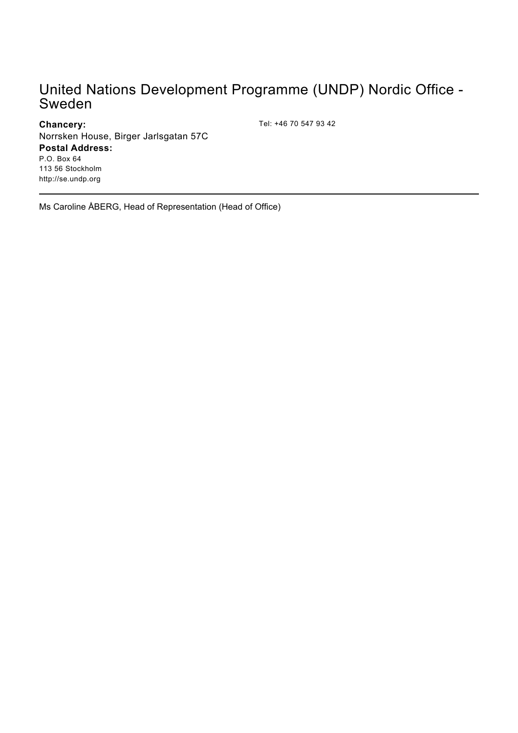### United Nations Development Programme (UNDP) Nordic Office - Sweden

### **Chancery:**

Tel: +46 70 547 93 42

Norrsken House, Birger Jarlsgatan 57C

### **Postal Address:**

P.O. Box 64 113 56 Stockholm http://se.undp.org

Ms Caroline ÅBERG, Head of Representation (Head of Office)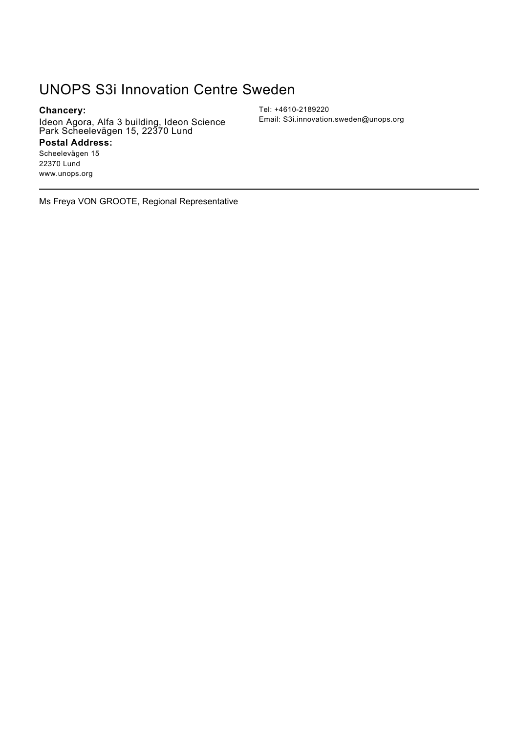### UNOPS S3i Innovation Centre Sweden

### **Chancery:**

Ideon Agora, Alfa 3 building, Ideon Science Park Scheelevägen 15, 22370 Lund

#### **Postal Address:**

Scheelevägen 15 22370 Lund www.unops.org

Tel: +4610-2189220 Email: S3i.innovation.sweden@unops.org

Ms Freya VON GROOTE, Regional Representative